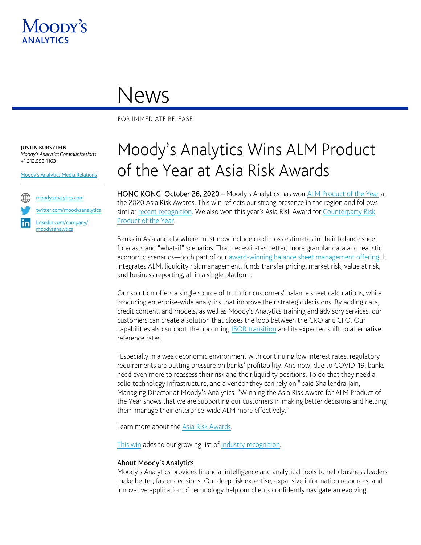

## News

FOR IMMEDIATE RELEASE

**JUSTIN BURSZTEIN** *Moody's Analytics Communications* +1.212.553.1163

[Moody's Analytics Media Relations](mailto:MAMediarelations@moodys.com?subject=Moody%E2%80%99s%20Analytics%20Wins%20ALM%20Product%20of%20the%20Year%20at%20Asia%20Risk%20Awards%202020)



[moodysanalytics.com](http://www.moodysanalytics.com/)

[twitter.com/moodysanalytics](https://twitter.com/MoodysAnalytics)

[linkedin.com/company/](https://www.linkedin.com/company/moodysanalytics) [moodysanalytics](https://www.linkedin.com/company/moodysanalytics)

## Moody's Analytics Wins ALM Product of the Year at Asia Risk Awards

HONG KONG, October 26, 2020 – Moody's Analytics has won [ALM Product of the Year](https://www.moodysanalytics.com/articles/2020/asia-risk-awards-2020-alm-product-of-the-year) at the 2020 Asia Risk Awards. This win reflects our strong presence in the region and follows similar [recent recognition.](https://www.moodysanalytics.com/awards/celent-balance-sheet-management-report-2020) We also won this year's Asia Risk Award for Counterparty Risk [Product of the Year.](https://www.moodysanalytics.com/awards/asia-risk-awards-counterparty-risk-product-of-the-year-2020)

Banks in Asia and elsewhere must now include credit loss estimates in their balance sheet forecasts and "what-if" scenarios. That necessitates better, more granular data and realistic economic scenarios—both part of our [award-winning](https://www.moodysanalytics.com/awards/chartis-risk-tech-100-balancesheet-2020) [balance sheet management offering.](http://www.moodysanalytics.com/ibsm) It integrates ALM, liquidity risk management, funds transfer pricing, market risk, value at risk, and business reporting, all in a single platform.

Our solution offers a single source of truth for customers' balance sheet calculations, while producing enterprise-wide analytics that improve their strategic decisions. By adding data, credit content, and models, as well as Moody's Analytics training and advisory services, our customers can create a solution that closes the loop between the CRO and CFO. Our capabilities also support the upcoming [IBOR transition](https://www.moodysanalytics.com/articles/2020/ibor-transition-alternative-reference-rate-capabilities-in-riskconfidence) and its expected shift to alternative reference rates.

"Especially in a weak economic environment with continuing low interest rates, regulatory requirements are putting pressure on banks' profitability. And now, due to COVID-19, banks need even more to reassess their risk and their liquidity positions. To do that they need a solid technology infrastructure, and a vendor they can rely on," said Shailendra Jain, Managing Director at Moody's Analytics. "Winning the Asia Risk Award for ALM Product of the Year shows that we are supporting our customers in making better decisions and helping them manage their enterprise-wide ALM more effectively."

Learn more about the [Asia Risk Awards.](https://www.asiariskcongress.com/awards/categories)

[This win](https://www.moodysanalytics.com/awards/asia-risk-awards-alm-product-of-the-year-2020) adds to our growing list of [industry recognition.](https://www.moodysanalytics.com/about-us/recognition)

## About Moody's Analytics

Moody's Analytics provides financial intelligence and analytical tools to help business leaders make better, faster decisions. Our deep risk expertise, expansive information resources, and innovative application of technology help our clients confidently navigate an evolving